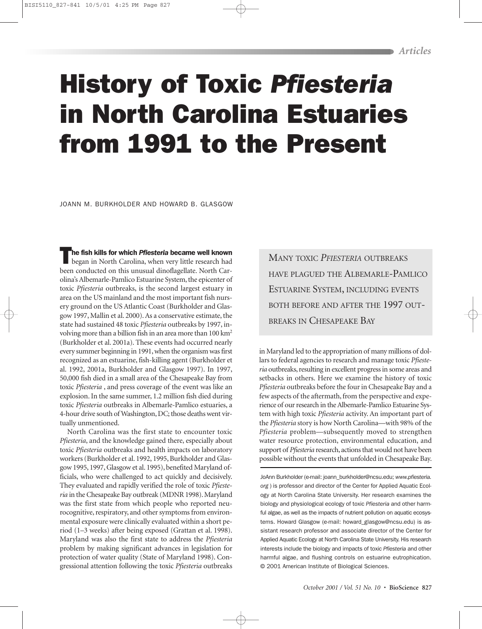## History of Toxic *Pfiesteria* in North Carolina Estuaries from 1991 to the Present

JOANN M. BURKHOLDER AND HOWARD B. GLASGOW

**The fish kills for which** *Pfiesteria* **became well known**<br>began in North Carolina, when very little research had been conducted on this unusual dinoflagellate. North Carolina's Albemarle-Pamlico Estuarine System, the epicenter of toxic *Pfiesteria* outbreaks, is the second largest estuary in area on the US mainland and the most important fish nursery ground on the US Atlantic Coast (Burkholder and Glasgow 1997, Mallin et al. 2000). As a conservative estimate, the state had sustained 48 toxic *Pfiesteria* outbreaks by 1997, involving more than a billion fish in an area more than 100 km2 (Burkholder et al. 2001a). These events had occurred nearly every summer beginning in 1991, when the organism was first recognized as an estuarine, fish-killing agent (Burkholder et al. 1992, 2001a, Burkholder and Glasgow 1997). In 1997, 50,000 fish died in a small area of the Chesapeake Bay from toxic *Pfiesteria* , and press coverage of the event was like an explosion. In the same summer, 1.2 million fish died during toxic *Pfiesteria* outbreaks in Albemarle-Pamlico estuaries, a 4-hour drive south of Washington, DC; those deaths went virtually unmentioned.

North Carolina was the first state to encounter toxic *Pfiesteria*, and the knowledge gained there, especially about toxic *Pfiesteria* outbreaks and health impacts on laboratory workers (Burkholder et al. 1992, 1995, Burkholder and Glasgow 1995, 1997, Glasgow et al. 1995), benefited Maryland officials, who were challenged to act quickly and decisively. They evaluated and rapidly verified the role of toxic *Pfiesteria* in the Chesapeake Bay outbreak (MDNR 1998). Maryland was the first state from which people who reported neurocognitive, respiratory, and other symptoms from environmental exposure were clinically evaluated within a short period (1–3 weeks) after being exposed (Grattan et al. 1998). Maryland was also the first state to address the *Pfiesteria* problem by making significant advances in legislation for protection of water quality (State of Maryland 1998). Congressional attention following the toxic *Pfiesteria* outbreaks

MANY TOXIC *PFIESTERIA* OUTBREAKS HAVE PLAGUED THE ALBEMARLE-PAMLICO ESTUARINE SYSTEM, INCLUDING EVENTS BOTH BEFORE AND AFTER THE 1997 OUT-BREAKS IN CHESAPEAKE BAY

in Maryland led to the appropriation of many millions of dollars to federal agencies to research and manage toxic *Pfiesteria* outbreaks, resulting in excellent progress in some areas and setbacks in others. Here we examine the history of toxic *Pfiesteria* outbreaks before the four in Chesapeake Bay and a few aspects of the aftermath, from the perspective and experience of our research in the Albemarle-Pamlico Estuarine System with high toxic *Pfiesteria* activity. An important part of the *Pfiesteria* story is how North Carolina—with 98% of the *Pfiesteria* problem—subsequently moved to strengthen water resource protection, environmental education, and support of *Pfiesteria* research, actions that would not have been possible without the events that unfolded in Chesapeake Bay.

JoAnn Burkholder (e-mail: joann\_burkholder@ncsu.edu; *www.pfiesteria. org* ) is professor and director of the Center for Applied Aquatic Ecology at North Carolina State University. Her research examines the biology and physiological ecology of toxic *Pfiesteria* and other harmful algae, as well as the impacts of nutrient pollution on aquatic ecosystems. Howard Glasgow (e-mail: howard\_glasgow@ncsu.edu) is assistant research professor and associate director of the Center for Applied Aquatic Ecology at North Carolina State University. His research interests include the biology and impacts of toxic *Pfiesteria* and other harmful algae, and flushing controls on estuarine eutrophication. © 2001 American Institute of Biological Sciences.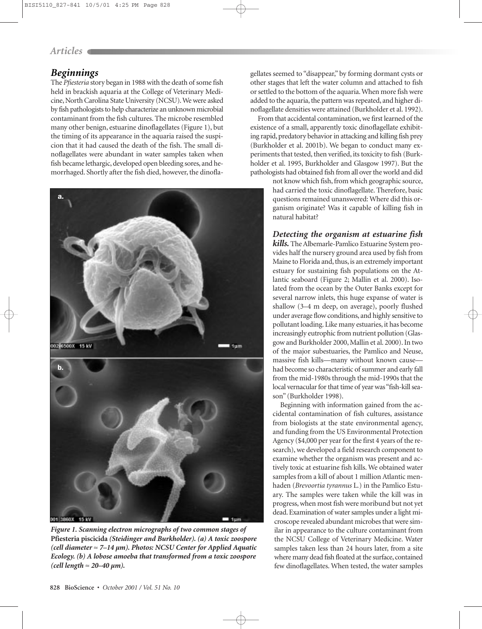#### *Articles*

#### *Beginnings*

The *Pfiesteria* story began in 1988 with the death of some fish held in brackish aquaria at the College of Veterinary Medicine, North Carolina State University (NCSU).We were asked by fish pathologists to help characterize an unknown microbial contaminant from the fish cultures. The microbe resembled many other benign, estuarine dinoflagellates (Figure 1), but the timing of its appearance in the aquaria raised the suspicion that it had caused the death of the fish. The small dinoflagellates were abundant in water samples taken when fish became lethargic, developed open bleeding sores, and hemorrhaged. Shortly after the fish died, however, the dinofla-



*Figure 1. Scanning electron micrographs of two common stages of* **Pfiesteria piscicida** *(Steidinger and Burkholder). (a) A toxic zoospore (cell diameter* ≈ *7–14 µm). Photos: NCSU Center for Applied Aquatic Ecology. (b) A lobose amoeba that transformed from a toxic zoospore (cell length* ≈ *20–40 µm).*

gellates seemed to "disappear," by forming dormant cysts or other stages that left the water column and attached to fish or settled to the bottom of the aquaria. When more fish were added to the aquaria, the pattern was repeated, and higher dinoflagellate densities were attained (Burkholder et al. 1992).

From that accidental contamination, we first learned of the existence of a small, apparently toxic dinoflagellate exhibiting rapid, predatory behavior in attacking and killing fish prey (Burkholder et al. 2001b). We began to conduct many experiments that tested, then verified, its toxicity to fish (Burkholder et al. 1995, Burkholder and Glasgow 1997). But the pathologists had obtained fish from all over the world and did

> not know which fish, from which geographic source, had carried the toxic dinoflagellate. Therefore, basic questions remained unanswered: Where did this organism originate? Was it capable of killing fish in natural habitat?

#### *Detecting the organism at estuarine fish*

*kills.* The Albemarle-Pamlico Estuarine System provides half the nursery ground area used by fish from Maine to Florida and, thus, is an extremely important estuary for sustaining fish populations on the Atlantic seaboard (Figure 2; Mallin et al. 2000). Isolated from the ocean by the Outer Banks except for several narrow inlets, this huge expanse of water is shallow (3–4 m deep, on average), poorly flushed under average flow conditions, and highly sensitive to pollutant loading. Like many estuaries, it has become increasingly eutrophic from nutrient pollution (Glasgow and Burkholder 2000, Mallin et al. 2000). In two of the major subestuaries, the Pamlico and Neuse, massive fish kills—many without known cause had become so characteristic of summer and early fall from the mid-1980s through the mid-1990s that the local vernacular for that time of year was "fish-kill season" (Burkholder 1998).

Beginning with information gained from the accidental contamination of fish cultures, assistance from biologists at the state environmental agency, and funding from the US Environmental Protection Agency (\$4,000 per year for the first 4 years of the research), we developed a field research component to examine whether the organism was present and actively toxic at estuarine fish kills. We obtained water samples from a kill of about 1 million Atlantic menhaden (*Brevoortia tyrannus* L*.*) in the Pamlico Estuary. The samples were taken while the kill was in progress, when most fish were moribund but not yet dead. Examination of water samples under a light microscope revealed abundant microbes that were similar in appearance to the culture contaminant from the NCSU College of Veterinary Medicine. Water samples taken less than 24 hours later, from a site where many dead fish floated at the surface, contained few dinoflagellates. When tested, the water samples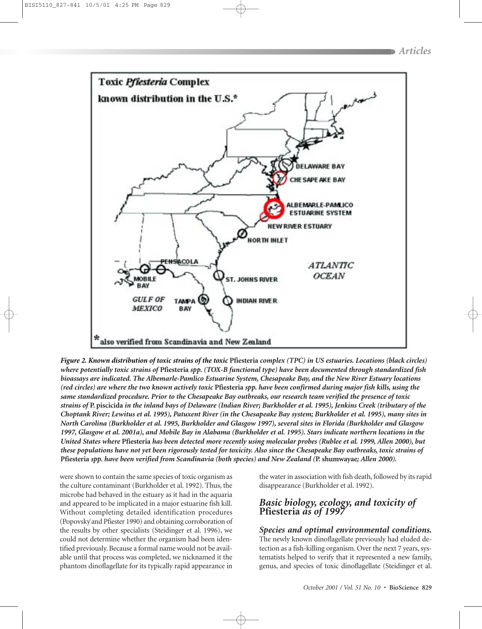

*Figure 2. Known distribution of toxic strains of the toxic* **Pfiesteria** *complex (TPC) in US estuaries. Locations (black circles) where potentially toxic strains of* **Pfiesteria** *spp. (TOX-B functional type) have been documented through standardized fish bioassays are indicated. The Albemarle-Pamlico Estuarine System, Chesapeake Bay, and the New River Estuary locations (red circles) are where the two known actively toxic* **Pfiesteria** *spp. have been confirmed during major fish kills, using the same standardized procedure. Prior to the Chesapeake Bay outbreaks, our research team verified the presence of toxic strains of* **P. piscicida** *in the inland bays of Delaware (Indian River; Burkholder et al. 1995), Jenkins Creek (tributary of the Choptank River; Lewitus et al. 1995), Patuxent River (in the Chesapeake Bay system; Burkholder et al. 1995), many sites in North Carolina (Burkholder et al. 1995, Burkholder and Glasgow 1997), several sites in Florida (Burkholder and Glasgow 1997, Glasgow et al. 2001a), and Mobile Bay in Alabama (Burkholder et al. 1995). Stars indicate northern locations in the United States where* **Pfiesteria** *has been detected more recently using molecular probes (Rublee et al. 1999, Allen 2000), but these populations have not yet been rigorously tested for toxicity. Also since the Chesapeake Bay outbreaks, toxic strains of* **Pfiesteria** *spp. have been verified from Scandinavia (both species) and New Zealand (***P. shumwayae***; Allen 2000).*

were shown to contain the same species of toxic organism as the culture contaminant (Burkholder et al. 1992). Thus, the microbe had behaved in the estuary as it had in the aquaria and appeared to be implicated in a major estuarine fish kill. Without completing detailed identification procedures (Popovsky´and Pfiester 1990) and obtaining corroboration of the results by other specialists (Steidinger et al. 1996), we could not determine whether the organism had been identified previously. Because a formal name would not be available until that process was completed, we nicknamed it the phantom dinoflagellate for its typically rapid appearance in

the water in association with fish death, followed by its rapid disappearance (Burkholder et al. 1992).

#### *Basic biology, ecology, and toxicity of* **Pfiesteria** *as of 1997*

#### *Species and optimal environmental conditions.*

The newly known dinoflagellate previously had eluded detection as a fish-killing organism. Over the next 7 years, systematists helped to verify that it represented a new family, genus, and species of toxic dinoflagellate (Steidinger et al.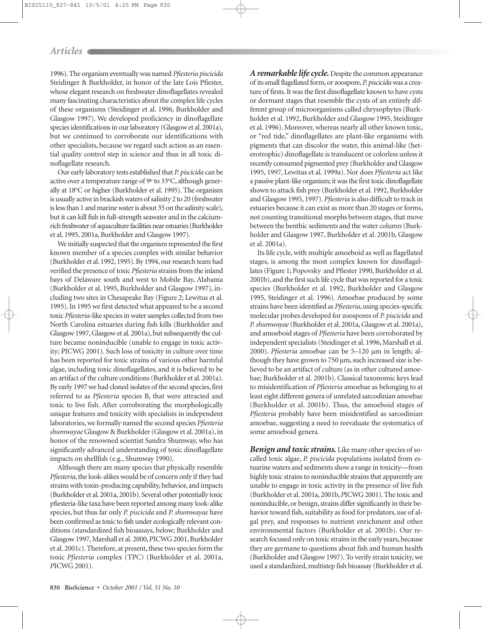1996). The organism eventually was named *Pfiesteria piscicida* Steidinger & Burkholder, in honor of the late Lois Pfiester, whose elegant research on freshwater dinoflagellates revealed many fascinating characteristics about the complex life cycles of these organisms (Steidinger et al. 1996, Burkholder and Glasgow 1997). We developed proficiency in dinoflagellate species identifications in our laboratory (Glasgow et al. 2001a), but we continued to corroborate our identifications with other specialists, because we regard such action as an essential quality control step in science and thus in all toxic dinoflagellate research.

Our early laboratory tests established that *P. piscicida* can be active over a temperature range of 9° to 33°C, although generally at 18°C or higher (Burkholder et al. 1995). The organism is usually active in brackish waters of salinity 2 to 20 (freshwater is less than 1 and marine water is about 35 on the salinity scale), but it can kill fish in full-strength seawater and in the calciumrich freshwater of aquaculture facilities near estuaries (Burkholder et al. 1995, 2001a, Burkholder and Glasgow 1997).

We initially suspected that the organism represented the first known member of a species complex with similar behavior (Burkholder et al. 1992, 1995). By 1994, our research team had verified the presence of toxic *Pfiesteria* strains from the inland bays of Delaware south and west to Mobile Bay, Alabama (Burkholder et al. 1995, Burkholder and Glasgow 1997), including two sites in Chesapeake Bay (Figure 2; Lewitus et al. 1995). In 1995 we first detected what appeared to be a second toxic *Pfiesteria*-like species in water samples collected from two North Carolina estuaries during fish kills (Burkholder and Glasgow 1997, Glasgow et al. 2001a), but subsequently the culture became noninducible (unable to engage in toxic activity; PICWG 2001). Such loss of toxicity in culture over time has been reported for toxic strains of various other harmful algae, including toxic dinoflagellates, and it is believed to be an artifact of the culture conditions (Burkholder et al. 2001a). By early 1997 we had cloned isolates of the second species, first referred to as *Pfiesteria* species B, that were attracted and toxic to live fish. After corroborating the morphologically unique features and toxicity with specialists in independent laboratories, we formally named the second species *Pfiesteria shumwayae* Glasgow & Burkholder (Glasgow et al. 2001a), in honor of the renowned scientist Sandra Shumway, who has significantly advanced understanding of toxic dinoflagellate impacts on shellfish (e.g., Shumway 1990).

Although there are many species that physically resemble Pfiesteria, the look-alikes would be of concern only if they had strains with toxin-producing capability, behavior, and impacts (Burkholder et al. 2001a, 2001b). Several other potentially toxic pfiesteria-like taxa have been reported among many look-alike species, but thus far only *P. piscicida* and *P. shumwayae* have been confirmed as toxic to fish under ecologically relevant conditions (standardized fish bioassays, below; Burkholder and Glasgow 1997, Marshall et al. 2000, PICWG 2001, Burkholder et al. 2001c). Therefore, at present, these two species form the toxic *Pfiesteria* complex (TPC) (Burkholder et al. 2001a, *P*ICWG 2001).

*A remarkable life cycle.* Despite the common appearance of its small flagellated form, or zoospore,*P. piscicida*was a creature of firsts. It was the first dinoflagellate known to have cysts or dormant stages that resemble the cysts of an entirely different group of microorganisms called chrysophytes (Burkholder et al. 1992, Burkholder and Glasgow 1995, Steidinger et al. 1996). Moreover, whereas nearly all other known toxic, or "red tide," dinoflagellates are plant-like organisms with pigments that can discolor the water, this animal-like (heterotrophic) dinoflagellate is translucent or colorless unless it recently consumed pigmented prey (Burkholder and Glasgow 1995, 1997, Lewitus et al. 1999a). Nor does *Pfiesteria* act like a passive plant-like organism; it was the first toxic dinoflagellate shown to attack fish prey (Burkholder et al. 1992, Burkholder and Glasgow 1995, 1997). *Pfiesteria* is also difficult to track in estuaries because it can exist as more than 20 stages or forms, not counting transitional morphs between stages, that move between the benthic sediments and the water column (Burkholder and Glasgow 1997, Burkholder et al. 2001b, Glasgow et al. 2001a).

Its life cycle, with multiple amoeboid as well as flagellated stages, is among the most complex known for dinoflagellates (Figure 1; Popovsky and Pfiester 1990, Burkholder et al. 2001b), and the first such life cycle that was reported for a toxic species (Burkholder et al. 1992, Burkholder and Glasgow 1995, Steidinger et al. 1996). Amoebae produced by some strains have been identified as *Pfiesteria*, using species-specific molecular probes developed for zoospores of *P. piscicida* and *P.shumwayae*(Burkholder et al. 2001a, Glasgow et al. 2001a), and amoeboid stages of *Pfiesteria* have been corroborated by independent specialists (Steidinger et al. 1996, Marshall et al. 2000). *Pfiesteria* amoebae can be 5–120 µm in length; although they have grown to 750 µm, such increased size is believed to be an artifact of culture (as in other cultured amoebae; Burkholder et al. 2001b). Classical taxonomic keys lead to misidentification of *Pfiesteria* amoebae as belonging to at least eight different genera of unrelated sarcodinian amoebae (Burkholder et al. 2001b). Thus, the amoeboid stages of *Pfiesteria* probably have been misidentified as sarcodinian amoebae, suggesting a need to reevaluate the systematics of some amoeboid genera.

*Benign and toxic strains.* Like many other species of socalled toxic algae, *P. piscicida* populations isolated from estuarine waters and sediments show a range in toxicity—from highly toxic strains to noninducible strains that apparently are unable to engage in toxic activity in the presence of live fish (Burkholder et al. 2001a, 2001b,*P*ICWG 2001). The toxic and noninducible, or benign, strains differ significantly in their behavior toward fish, suitability as food for predators, use of algal prey, and responses to nutrient enrichment and other environmental factors (Burkholder et al. 2001b). Our research focused only on toxic strains in the early years, because they are germane to questions about fish and human health (Burkholder and Glasgow 1997). To verify strain toxicity, we used a standardized, multistep fish bioassay (Burkholder et al.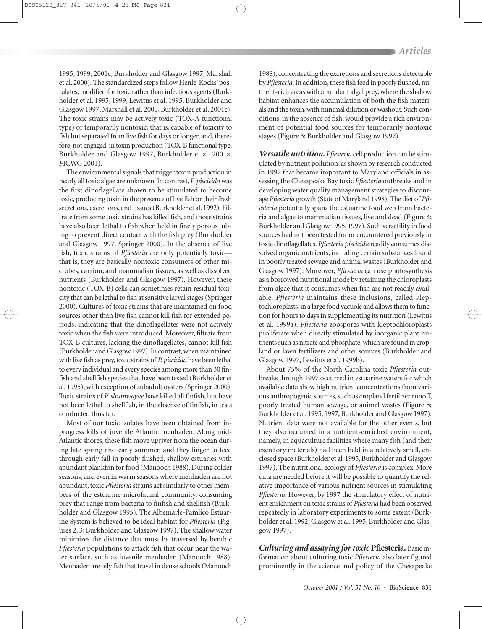1995, 1999, 2001c, Burkholder and Glasgow 1997, Marshall et al. 2000). The standardized steps follow Henle-Kochs' postulates, modified for toxic rather than infectious agents (Burkholder et al. 1995, 1999, Lewitus et al. 1995, Burkholder and Glasgow 1997, Marshall et al. 2000, Burkholder et al. 2001c). The toxic strains may be actively toxic (TOX-A functional type) or temporarily nontoxic, that is, capable of toxicity to fish but separated from live fish for days or longer, and, therefore, not engaged in toxin production (TOX-B functional type; Burkholder and Glasgow 1997, Burkholder et al. 2001a, *P*ICWG 2001).

The environmental signals that trigger toxin production in nearly all toxic algae are unknown. In contrast,*P. piscicida*was the first dinoflagellate shown to be stimulated to become toxic, producing toxin in the presence of live fish or their fresh secretions, excretions, and tissues (Burkholder et al. 1992). Filtrate from some toxic strains has killed fish, and those strains have also been lethal to fish when held in finely porous tubing to prevent direct contact with the fish prey (Burkholder and Glasgow 1997, Springer 2000). In the absence of live fish, toxic strains of *Pfiesteria* are only potentially toxic that is, they are basically nontoxic consumers of other microbes, carrion, and mammalian tissues, as well as dissolved nutrients (Burkholder and Glasgow 1997). However, these nontoxic (TOX-B) cells can sometimes retain residual toxicity that can be lethal to fish at sensitive larval stages (Springer 2000). Cultures of toxic strains that are maintained on food sources other than live fish cannot kill fish for extended periods, indicating that the dinoflagellates were not actively toxic when the fish were introduced. Moreover, filtrate from TOX-B cultures, lacking the dinoflagellates, cannot kill fish (Burkholder and Glasgow 1997). In contrast, when maintained with live fish as prey, toxic strains of *P. piscicida* have been lethal to every individual and every species among more than 30 finfish and shellfish species that have been tested (Burkholder et al. 1995), with exception of subadult oysters (Springer 2000). Toxic strains of *P. shumwayae* have killed all finfish, but have not been lethal to shellfish, in the absence of finfish, in tests conducted thus far.

Most of our toxic isolates have been obtained from inprogress kills of juvenile Atlantic menhaden. Along mid-Atlantic shores, these fish move upriver from the ocean during late spring and early summer, and they linger to feed through early fall in poorly flushed, shallow estuaries with abundant plankton for food (Manooch 1988). During colder seasons, and even in warm seasons where menhaden are not abundant, toxic *Pfiesteria* strains act similarly to other members of the estuarine microfaunal community, consuming prey that range from bacteria to finfish and shellfish (Burkholder and Glasgow 1995). The Albemarle-Pamlico Estuarine System is believed to be ideal habitat for *Pfiesteria* (Figures 2, 3; Burkholder and Glasgow 1997). The shallow water minimizes the distance that must be traversed by benthic *Pfiesteria* populations to attack fish that occur near the water surface, such as juvenile menhaden (Manooch 1988). Menhaden are oily fish that travel in dense schools (Manooch

1988), concentrating the excretions and secretions detectable by *Pfiesteria*. In addition, these fish feed in poorly flushed, nutrient-rich areas with abundant algal prey, where the shallow habitat enhances the accumulation of both the fish materials and the toxin, with minimal dilution or washout. Such conditions, in the absence of fish, would provide a rich environment of potential food sources for temporarily nontoxic stages (Figure 3; Burkholder and Glasgow 1997).

*Versatile nutrition. Pfiesteria* cell production can be stimulated by nutrient pollution, as shown by research conducted in 1997 that became important to Maryland officials in assessing the Chesapeake Bay toxic *Pfiesteria* outbreaks and in developing water quality management strategies to discourage *Pfiesteria* growth (State of Maryland 1998). The diet of *Pfiesteria* potentially spans the estuarine food web from bacteria and algae to mammalian tissues, live and dead (Figure 4; Burkholder and Glasgow 1995, 1997). Such versatility in food sources had not been tested for or encountered previously in toxic dinoflagellates. *Pfiesteria piscicida* readily consumes dissolved organic nutrients, including certain substances found in poorly treated sewage and animal wastes (Burkholder and Glasgow 1997). Moreover, *Pfiesteria* can use photosynthesis as a borrowed nutritional mode by retaining the chloroplasts from algae that it consumes when fish are not readily available. *Pfiesteria* maintains these inclusions, called kleptochloroplasts, in a large food vacuole and allows them to function for hours to days in supplementing its nutrition (Lewitus et al. 1999a). *Pfiesteria* zoospores with kleptochloroplasts proliferate when directly stimulated by inorganic plant nutrients such as nitrate and phosphate, which are found in cropland or lawn fertilizers and other sources (Burkholder and Glasgow 1997, Lewitus et al. 1999b).

About 75% of the North Carolina toxic *Pfiesteria* outbreaks through 1997 occurred in estuarine waters for which available data show high nutrient concentrations from various anthropogenic sources, such as cropland fertilizer runoff, poorly treated human sewage, or animal wastes (Figure 5; Burkholder et al. 1995, 1997, Burkholder and Glasgow 1997). Nutrient data were not available for the other events, but they also occurred in a nutrient-enriched environment, namely, in aquaculture facilities where many fish (and their excretory materials) had been held in a relatively small, enclosed space (Burkholder et al. 1995, Burkholder and Glasgow 1997). The nutritional ecology of *Pfiesteria* is complex. More data are needed before it will be possible to quantify the relative importance of various nutrient sources in stimulating *Pfiesteria*. However, by 1997 the stimulatory effect of nutrient enrichment on toxic strains of *Pfiesteria* had been observed repeatedly in laboratory experiments to some extent (Burkholder et al. 1992, Glasgow et al. 1995, Burkholder and Glasgow 1997).

*Culturing and assaying for toxic* **Pfiesteria***.* Basic information about culturing toxic *Pfiesteria* also later figured prominently in the science and policy of the Chesapeake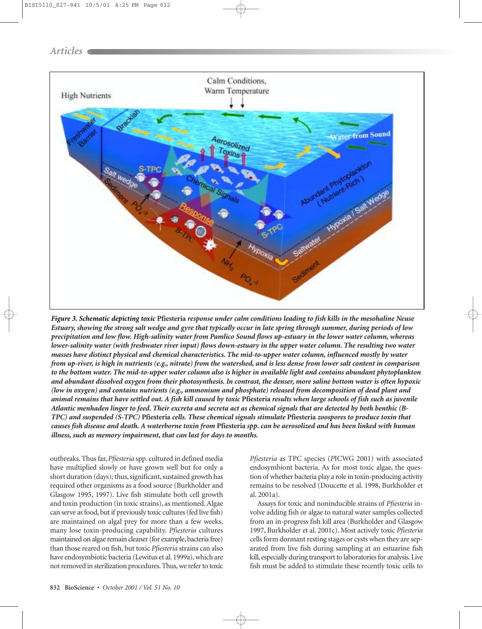

*Figure 3. Schematic depicting toxic* **Pfiesteria** *response under calm conditions leading to fish kills in the mesohaline Neuse Estuary, showing the strong salt wedge and gyre that typically occur in late spring through summer, during periods of low precipitation and low flow. High-salinity water from Pamlico Sound flows up-estuary in the lower water column, whereas lower-salinity water (with freshwater river input) flows down-estuary in the upper water column. The resulting two water masses have distinct physical and chemical characteristics. The mid-to-upper water column, influenced mostly by water from up-river, is high in nutrients (e.g., nitrate) from the watershed, and is less dense from lower salt content in comparison to the bottom water. The mid-to-upper water column also is higher in available light and contains abundant phytoplankton and abundant dissolved oxygen from their photosynthesis. In contrast, the denser, more saline bottom water is often hypoxic (low in oxygen) and contains nutrients (e.g., ammonium and phosphate) released from decomposition of dead plant and animal remains that have settled out. A fish kill caused by toxic* **Pfiesteria** *results when large schools of fish such as juvenile Atlantic menhaden linger to feed. Their excreta and secreta act as chemical signals that are detected by both benthic (B-TPC) and suspended (S-TPC)* **Pfiesteria** *cells. These chemical signals stimulate* **Pfiesteria** *zoospores to produce toxin that causes fish disease and death. A waterborne toxin from* **Pfiesteria** *spp***.** *can be aerosolized and has been linked with human illness, such as memory impairment, that can last for days to months.*

outbreaks. Thus far, *Pfiesteria* spp. cultured in defined media have multiplied slowly or have grown well but for only a short duration (days); thus, significant, sustained growth has required other organisms as a food source (Burkholder and Glasgow 1995, 1997). Live fish stimulate both cell growth and toxin production (in toxic strains), as mentioned. Algae can serve as food, but if previously toxic cultures (fed live fish) are maintained on algal prey for more than a few weeks, many lose toxin-producing capability. *Pfiesteria* cultures maintained on algae remain cleaner (for example, bacteria free) than those reared on fish, but toxic *Pfiesteria* strains can also have endosymbiotic bacteria (Lewitus et al. 1999a), which are not removed in sterilization procedures. Thus, we refer to toxic *Pfiesteria* as TPC species (*P*ICWG 2001) with associated endosymbiont bacteria. As for most toxic algae, the question of whether bacteria play a role in toxin-producing activity remains to be resolved (Doucette et al. 1998, Burkholder et al. 2001a).

Assays for toxic and noninducible strains of *Pfiesteria* involve adding fish or algae to natural water samples collected from an in-progress fish kill area (Burkholder and Glasgow 1997, Burkholder et al. 2001c). Most actively toxic *Pfiesteria* cells form dormant resting stages or cysts when they are separated from live fish during sampling at an estuarine fish kill, especially during transport to laboratories for analysis. Live fish must be added to stimulate these recently toxic cells to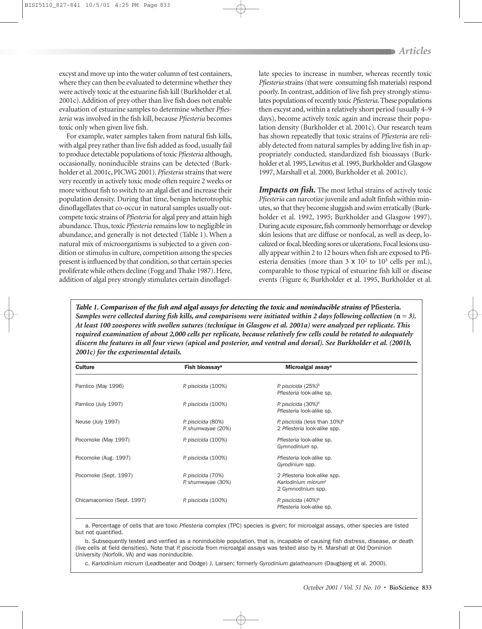excyst and move up into the water column of test containers, where they can then be evaluated to determine whether they were actively toxic at the estuarine fish kill (Burkholder et al. 2001c). Addition of prey other than live fish does not enable evaluation of estuarine samples to determine whether *Pfiesteria* was involved in the fish kill, because *Pfiesteria* becomes toxic only when given live fish.

For example, water samples taken from natural fish kills, with algal prey rather than live fish added as food, usually fail to produce detectable populations of toxic *Pfiesteria* although, occasionally, noninducible strains can be detected (Burkholder et al. 2001c, PICWG 2001). *Pfiesteria* strains that were very recently in actively toxic mode often require 2 weeks or more without fish to switch to an algal diet and increase their population density. During that time, benign heterotrophic dinoflagellates that co-occur in natural samples usually outcompete toxic strains of *Pfiesteria* for algal prey and attain high abundance. Thus, toxic *Pfiesteria* remains low to negligible in abundance, and generally is not detected (Table 1). When a natural mix of microorganisms is subjected to a given condition or stimulus in culture, competition among the species present is influenced by that condition, so that certain species proliferate while others decline (Fogg and Thake 1987). Here, addition of algal prey strongly stimulates certain dinoflagellate species to increase in number, whereas recently toxic *Pfiesteria* strains (that were consuming fish materials) respond poorly. In contrast, addition of live fish prey strongly stimulates populations of recently toxic *Pfiesteria*. These populations then excyst and, within a relatively short period (usually 4–9 days), become actively toxic again and increase their population density (Burkholder et al. 2001c). Our research team has shown repeatedly that toxic strains of *Pfiesteria* are reliably detected from natural samples by adding live fish in appropriately conducted, standardized fish bioassays (Burkholder et al. 1995, Lewitus et al. 1995, Burkholder and Glasgow 1997, Marshall et al. 2000, Burkholder et al. 2001c).

*Impacts on fish*. The most lethal strains of actively toxic *Pfiesteria* can narcotize juvenile and adult finfish within minutes, so that they become sluggish and swim erratically (Burkholder et al. 1992, 1995; Burkholder and Glasgow 1997). During acute exposure, fish commonly hemorrhage or develop skin lesions that are diffuse or nonfocal, as well as deep, localized or focal, bleeding sores or ulcerations. Focal lesions usually appear within 2 to 12 hours when fish are exposed to Pfiesteria densities (more than  $3 \times 10^2$  to  $10^3$  cells per mL), comparable to those typical of estuarine fish kill or disease events (Figure 6; Burkholder et al. 1995, Burkholder et al.

*Table 1. Comparison of the fish and algal assays for detecting the toxic and noninducible strains of* **Pfiesteria***. Samples were collected during fish kills, and comparisons were initiated within 2 days following collection*  $(n = 3)$ . *At least 100 zoospores with swollen sutures (technique in Glasgow et al. 2001a) were analyzed per replicate. This required examination of about 2,000 cells per replicate, because relatively few cells could be rotated to adequately discern the features in all four views (apical and posterior, and ventral and dorsal). See Burkholder et al. (2001b, 2001c) for the experimental details.*

| <b>Culture</b>             | Fish bioassay <sup>a</sup>               | Microalgal assay <sup>a</sup>                                                         |  |
|----------------------------|------------------------------------------|---------------------------------------------------------------------------------------|--|
| Pamlico (May 1996)         | P. piscicida (100%)                      | P. piscicida (25%) <sup>b</sup><br>Pfiesteria look-alike sp.                          |  |
| Pamlico (July 1997)        | P. piscicida (100%)                      | P. piscicida $(30\%)^b$<br>Pfiesteria look-alike sp.                                  |  |
| Neuse (July 1997)          | P. piscicida (80%)<br>P. shumwayae (20%) | P. piscicida (less than $10\%)^b$<br>2 Pfiesteria look-alike spp.                     |  |
| Pocomoke (May 1997)        | P. piscicida (100%)                      | Pfiesteria look-alike sp.<br>Gymnodinium sp.                                          |  |
| Pocomoke (Aug. 1997)       | P. piscicida (100%)                      | Pfiesteria look-alike sp.<br>Gyrodinium spp.                                          |  |
| Pocomoke (Sept. 1997)      | P. piscicida (70%)<br>P. shumwayae (30%) | 2 Pfiesteria look-alike spp.<br>Karlodinium micrum <sup>c</sup><br>2 Gymnodinium spp. |  |
| Chicamacomico (Sept. 1997) | P. piscicida (100%)                      | P. piscicida (40%) <sup>b</sup><br>Pfiesteria look-alike sp.                          |  |

a. Percentage of cells that are toxic *Pfiesteria* complex (TPC) species is given; for microalgal assays, other species are listed but not quantified.

b. Subsequently tested and verified as a noninducible population, that is, incapable of causing fish distress, disease, or death (live cells at field densities). Note that *P. piscicida* from microalgal assays was tested also by H. Marshall at Old Dominion University (Norfolk, VA) and was noninducible.

c. *Karlodinium micrum* (Leadbeater and Dodge) J. Larsen; formerly *Gyrodinium galatheanum* (Daugbjerg et al. 2000).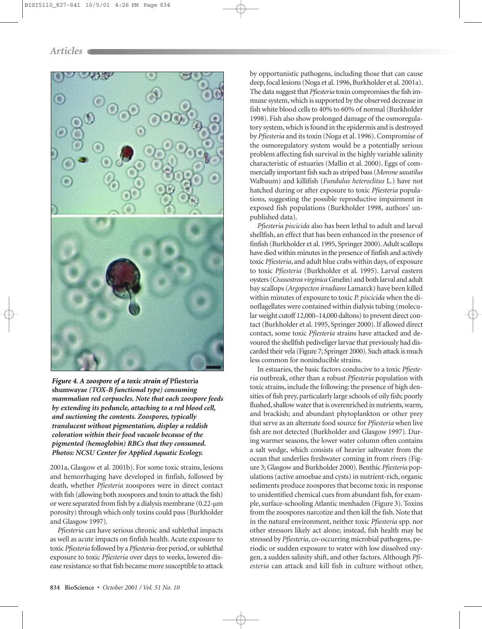

*Figure 4. A zoospore of a toxic strain of* **Pfiesteria shumwayae** *(TOX-B functional type) consuming mammalian red corpuscles. Note that each zoospore feeds by extending its peduncle, attaching to a red blood cell, and suctioning the contents. Zoospores, typically translucent without pigmentation, display a reddish coloration within their food vacuole because of the pigmented (hemoglobin) RBCs that they consumed. Photos: NCSU Center for Applied Aquatic Ecology.*

2001a, Glasgow et al. 2001b). For some toxic strains, lesions and hemorrhaging have developed in finfish, followed by death, whether *Pfiesteria* zoospores were in direct contact with fish (allowing both zoospores and toxin to attack the fish) or were separated from fish by a dialysis membrane (0.22-µm porosity) through which only toxins could pass (Burkholder and Glasgow 1997).

*Pfiesteria* can have serious chronic and sublethal impacts as well as acute impacts on finfish health. Acute exposure to toxic *Pfiesteria* followed by a *Pfiesteria*-free period, or sublethal exposure to toxic *Pfiesteria* over days to weeks, lowered disease resistance so that fish became more susceptible to attack by opportunistic pathogens, including those that can cause deep, focal lesions (Noga et al. 1996, Burkholder et al. 2001a). The data suggest that *Pfiesteria* toxin compromises the fish immune system, which is supported by the observed decrease in fish white blood cells to 40% to 60% of normal (Burkholder 1998). Fish also show prolonged damage of the osmoregulatory system, which is found in the epidermis and is destroyed by *Pfiesteria* and its toxin (Noga et al. 1996). Compromise of the osmoregulatory system would be a potentially serious problem affecting fish survival in the highly variable salinity characteristic of estuaries (Mallin et al. 2000). Eggs of commercially important fish such as striped bass (*Morone saxatilus* Walbaum) and killifish (*Fundulus heteroclitus* L*.*) have not hatched during or after exposure to toxic *Pfiesteria* populations, suggesting the possible reproductive impairment in exposed fish populations (Burkholder 1998, authors' unpublished data).

*Pfiesteria piscicida* also has been lethal to adult and larval shellfish, an effect that has been enhanced in the presence of finfish (Burkholder et al. 1995, Springer 2000). Adult scallops have died within minutes in the presence of finfish and actively toxic *Pfiesteria*, and adult blue crabs within days, of exposure to toxic *Pfiesteria* (Burkholder et al. 1995). Larval eastern oysters (*Crassostrea virginica* Gmelin) and both larval and adult bay scallops (*Argopecten irradians* Lamarck) have been killed within minutes of exposure to toxic *P. piscicida* when the dinoflagellates were contained within dialysis tubing (molecular weight cutoff 12,000–14,000 daltons) to prevent direct contact (Burkholder et al. 1995, Springer 2000). If allowed direct contact, some toxic *Pfiesteria* strains have attacked and devoured the shellfish pediveliger larvae that previously had discarded their vela (Figure 7; Springer 2000). Such attack is much less common for noninducible strains.

In estuaries, the basic factors conducive to a toxic *Pfiesteria* outbreak, other than a robust *Pfiesteria* population with toxic strains, include the following: the presence of high densities of fish prey, particularly large schools of oily fish; poorly flushed, shallow water that is overenriched in nutrients, warm, and brackish; and abundant phytoplankton or other prey that serve as an alternate food source for *Pfiesteria* when live fish are not detected (Burkholder and Glasgow 1997). During warmer seasons, the lower water column often contains a salt wedge, which consists of heavier saltwater from the ocean that underlies freshwater coming in from rivers (Figure 3; Glasgow and Burkholder 2000). Benthic *Pfiesteria* populations (active amoebae and cysts) in nutrient-rich, organic sediments produce zoospores that become toxic in response to unidentified chemical cues from abundant fish, for example, surface-schooling Atlantic menhaden (Figure 3). Toxins from the zoospores narcotize and then kill the fish. Note that in the natural environment, neither toxic *Pfiesteria* spp. nor other stressors likely act alone; instead, fish health may be stressed by *Pfiesteria*, co-occurring microbial pathogens, periodic or sudden exposure to water with low dissolved oxygen, a sudden salinity shift, and other factors. Although *Pfiesteria* can attack and kill fish in culture without other,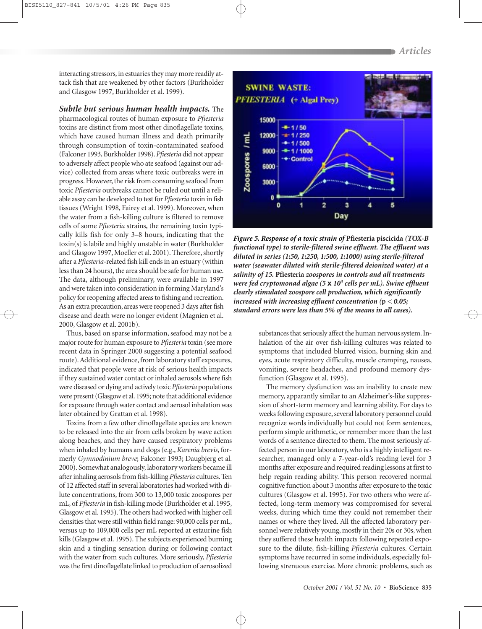interacting stressors, in estuaries they may more readily attack fish that are weakened by other factors (Burkholder and Glasgow 1997, Burkholder et al. 1999).

*Subtle but serious human health impacts.* The

pharmacological routes of human exposure to *Pfiesteria* toxins are distinct from most other dinoflagellate toxins, which have caused human illness and death primarily through consumption of toxin-contaminated seafood (Falconer 1993, Burkholder 1998).*Pfiesteria* did not appear to adversely affect people who ate seafood (against our advice) collected from areas where toxic outbreaks were in progress. However, the risk from consuming seafood from toxic *Pfiesteria* outbreaks cannot be ruled out until a reliable assay can be developed to test for *Pfiesteria* toxin in fish tissues (Wright 1998, Fairey et al. 1999). Moreover, when the water from a fish-killing culture is filtered to remove cells of some *Pfiesteria* strains, the remaining toxin typically kills fish for only 3–8 hours, indicating that the toxin(s) is labile and highly unstable in water (Burkholder and Glasgow 1997, Moeller et al. 2001). Therefore, shortly after a *Pfiesteria*-related fish kill ends in an estuary (within less than 24 hours), the area should be safe for human use. The data, although preliminary, were available in 1997 and were taken into consideration in forming Maryland's policy for reopening affected areas to fishing and recreation. As an extra precaution, areas were reopened 3 days after fish disease and death were no longer evident (Magnien et al. 2000, Glasgow et al. 2001b).

Thus, based on sparse information, seafood may not be a major route for human exposure to *Pfiesteria* toxin (see more recent data in Springer 2000 suggesting a potential seafood route). Additional evidence, from laboratory staff exposures, indicated that people were at risk of serious health impacts if they sustained water contact or inhaled aerosols where fish were diseased or dying and actively toxic *Pfiesteria* populations were present (Glasgow et al. 1995; note that additional evidence for exposure through water contact and aerosol inhalation was later obtained by Grattan et al. 1998).

Toxins from a few other dinoflagellate species are known to be released into the air from cells broken by wave action along beaches, and they have caused respiratory problems when inhaled by humans and dogs (e.g., *Karenia brevis*, formerly *Gymnodinium breve*; Falconer 1993; Daugbjerg et al. 2000). Somewhat analogously, laboratory workers became ill after inhaling aerosols from fish-killing *Pfiesteria* cultures. Ten of 12 affected staff in several laboratories had worked with dilute concentrations, from 300 to 13,000 toxic zoospores per mL, of *Pfiesteria* in fish-killing mode (Burkholder et al. 1995, Glasgow et al. 1995). The others had worked with higher cell densities that were still within field range: 90,000 cells per mL, versus up to 109,000 cells per mL reported at estaurine fish kills (Glasgow et al. 1995). The subjects experienced burning skin and a tingling sensation during or following contact with the water from such cultures. More seriously, *Pfiesteria* was the first dinoflagellate linked to production of aerosolized



*Figure 5. Response of a toxic strain of* **Pfiesteria piscicida** *(TOX-B functional type) to sterile-filtered swine effluent. The effluent was diluted in series (1:50, 1:250, 1:500, 1:1000) using sterile-filtered water (seawater diluted with sterile-filtered deionized water) at a salinity of 15.* **Pfiesteria** *zoospores in controls and all treatments were fed cryptomonad algae (5* **x** *103 cells per mL). Swine effluent clearly stimulated zoospore cell production, which significantly increased with increasing effluent concentration (***p** *< 0.05; standard errors were less than 5% of the means in all cases).*

substances that seriously affect the human nervous system. Inhalation of the air over fish-killing cultures was related to symptoms that included blurred vision, burning skin and eyes, acute respiratory difficulty, muscle cramping, nausea, vomiting, severe headaches, and profound memory dysfunction (Glasgow et al. 1995).

The memory dysfunction was an inability to create new memory, apparantly similar to an Alzheimer's-like suppression of short-term memory and learning ability. For days to weeks following exposure, several laboratory personnel could recognize words individually but could not form sentences, perform simple arithmetic, or remember more than the last words of a sentence directed to them. The most seriously affected person in our laboratory, who is a highly intelligent researcher, managed only a 7-year-old's reading level for 3 months after exposure and required reading lessons at first to help regain reading ability. This person recovered normal cognitive function about 3 months after exposure to the toxic cultures (Glasgow et al. 1995). For two others who were affected, long-term memory was compromised for several weeks, during which time they could not remember their names or where they lived. All the affected laboratory personnel were relatively young, mostly in their 20s or 30s, when they suffered these health impacts following repeated exposure to the dilute, fish-killing *Pfiesteria* cultures. Certain symptoms have recurred in some individuals, especially following strenuous exercise. More chronic problems, such as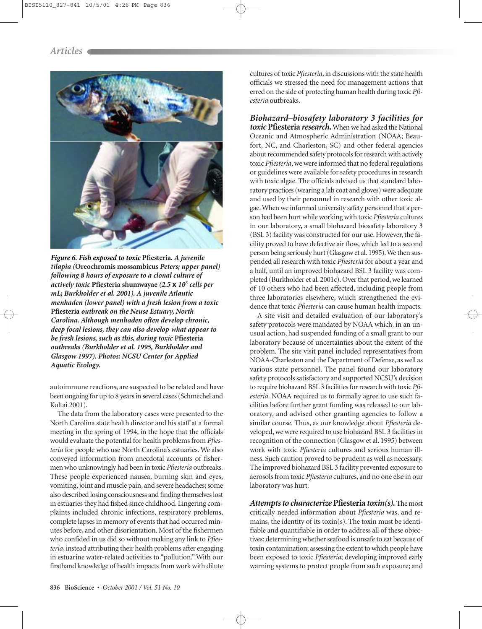

*Figure 6. Fish exposed to toxic* **Pfiesteria***. A juvenile tilapia (***Oreochromis mossambicus** *Peters; upper panel) following 8 hours of exposure to a clonal culture of actively toxic* **Pfiesteria shumwayae** *(2.5* **x** *103 cells per mL; Burkholder et al. 2001). A juvenile Atlantic menhaden (lower panel) with a fresh lesion from a toxic* **Pfiesteria** *outbreak on the Neuse Estuary, North Carolina. Although menhaden often develop chronic, deep focal lesions, they can also develop what appear to be fresh lesions, such as this, during toxic* **Pfiesteria** *outbreaks (Burkholder et al. 1995, Burkholder and Glasgow 1997). Photos: NCSU Center for Applied Aquatic Ecology.*

autoimmune reactions, are suspected to be related and have been ongoing for up to 8 years in several cases (Schmechel and Koltai 2001).

The data from the laboratory cases were presented to the North Carolina state health director and his staff at a formal meeting in the spring of 1994, in the hope that the officials would evaluate the potential for health problems from *Pfiesteria* for people who use North Carolina's estuaries. We also conveyed information from anecdotal accounts of fishermen who unknowingly had been in toxic *Pfiesteria* outbreaks. These people experienced nausea, burning skin and eyes, vomiting, joint and muscle pain, and severe headaches; some also described losing consciousness and finding themselves lost in estuaries they had fished since childhood. Lingering complaints included chronic infections, respiratory problems, complete lapses in memory of events that had occurred minutes before, and other disorientation. Most of the fishermen who confided in us did so without making any link to *Pfiesteria*, instead attributing their health problems after engaging in estuarine water-related activities to "pollution." With our firsthand knowledge of health impacts from work with dilute

cultures of toxic *Pfiesteria*, in discussions with the state health officials we stressed the need for management actions that erred on the side of protecting human health during toxic *Pfiesteria* outbreaks.

*Biohazard–biosafety laboratory 3 facilities for toxic* **Pfiesteria** *research.*When we had asked the National Oceanic and Atmospheric Administration (NOAA; Beaufort, NC, and Charleston, SC) and other federal agencies about recommended safety protocols for research with actively toxic *Pfiesteria*, we were informed that no federal regulations or guidelines were available for safety procedures in research with toxic algae. The officials advised us that standard laboratory practices (wearing a lab coat and gloves) were adequate and used by their personnel in research with other toxic algae.When we informed university safety personnel that a person had been hurt while working with toxic *Pfiesteria* cultures in our laboratory, a small biohazard biosafety laboratory 3 (BSL 3) facility was constructed for our use. However, the facility proved to have defective air flow, which led to a second person being seriously hurt (Glasgow et al. 1995). We then suspended all research with toxic *Pfiesteria* for about a year and a half, until an improved biohazard BSL 3 facility was completed (Burkholder et al. 2001c). Over that period, we learned of 10 others who had been affected, including people from three laboratories elsewhere, which strengthened the evidence that toxic *Pfiesteria* can cause human health impacts.

A site visit and detailed evaluation of our laboratory's safety protocols were mandated by NOAA which, in an unusual action, had suspended funding of a small grant to our laboratory because of uncertainties about the extent of the problem. The site visit panel included representatives from NOAA-Charleston and the Department of Defense, as well as various state personnel. The panel found our laboratory safety protocols satisfactory and supported NCSU's decision to require biohazard BSL 3 facilities for research with toxic *Pfiesteria*. NOAA required us to formally agree to use such facilities before further grant funding was released to our laboratory, and advised other granting agencies to follow a similar course. Thus, as our knowledge about *Pfiesteria* developed, we were required to use biohazard BSL 3 facilities in recognition of the connection (Glasgow et al. 1995) between work with toxic *Pfiesteria* cultures and serious human illness. Such caution proved to be prudent as well as necessary. The improved biohazard BSL 3 facility prevented exposure to aerosols from toxic *Pfiesteria* cultures, and no one else in our laboratory was hurt.

*Attempts to characterize* **Pfiesteria** *toxin(s).*The most critically needed information about *Pfiesteria* was, and remains, the identity of its toxin(s). The toxin must be identifiable and quantifiable in order to address all of these objectives: determining whether seafood is unsafe to eat because of toxin contamination; assessing the extent to which people have been exposed to toxic *Pfiesteria*; developing improved early warning systems to protect people from such exposure; and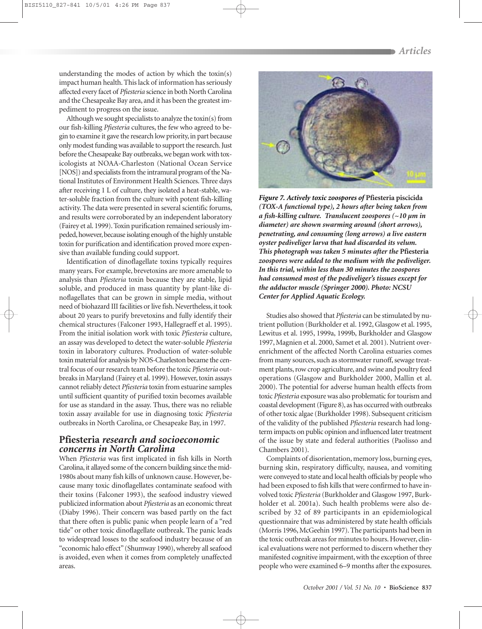understanding the modes of action by which the toxin(s) impact human health. This lack of information has seriously affected every facet of *Pfiesteria* science in both North Carolina and the Chesapeake Bay area, and it has been the greatest impediment to progress on the issue.

Although we sought specialists to analyze the toxin(s) from our fish-killing *Pfiesteria* cultures, the few who agreed to begin to examine it gave the research low priority, in part because only modest funding was available to support the research. Just before the Chesapeake Bay outbreaks, we began work with toxicologists at NOAA-Charleston (National Ocean Service [NOS]) and specialists from the intramural program of the National Institutes of Environment Health Sciences. Three days after receiving 1 L of culture, they isolated a heat-stable, water-soluble fraction from the culture with potent fish-killing activity. The data were presented in several scientific forums, and results were corroborated by an independent laboratory (Fairey et al. 1999). Toxin purification remained seriously impeded, however, because isolating enough of the highly unstable toxin for purification and identification proved more expensive than available funding could support.

Identification of dinoflagellate toxins typically requires many years. For example, brevetoxins are more amenable to analysis than *Pfiesteria* toxin because they are stable, lipid soluble, and produced in mass quantity by plant-like dinoflagellates that can be grown in simple media, without need of biohazard III facilities or live fish. Nevertheless, it took about 20 years to purify brevetoxins and fully identify their chemical structures (Falconer 1993, Hallegraeff et al. 1995). From the initial isolation work with toxic *Pfiesteria* culture, an assay was developed to detect the water-soluble *Pfiesteria* toxin in laboratory cultures. Production of water-soluble toxin material for analysis by NOS-Charleston became the central focus of our research team before the toxic *Pfiesteria* outbreaks in Maryland (Fairey et al. 1999). However, toxin assays cannot reliably detect *Pfiesteria* toxin from estuarine samples until sufficient quantity of purified toxin becomes available for use as standard in the assay. Thus, there was no reliable toxin assay available for use in diagnosing toxic *Pfiesteria* outbreaks in North Carolina, or Chesapeake Bay, in 1997.

#### **Pfiesteria** *research and socioeconomic concerns in North Carolina*

When *Pfiesteria* was first implicated in fish kills in North Carolina, it allayed some of the concern building since the mid-1980s about many fish kills of unknown cause. However, because many toxic dinoflagellates contaminate seafood with their toxins (Falconer 1993), the seafood industry viewed publicized information about *Pfiesteria* as an economic threat (Diaby 1996). Their concern was based partly on the fact that there often is public panic when people learn of a "red tide" or other toxic dinoflagellate outbreak. The panic leads to widespread losses to the seafood industry because of an "economic halo effect"(Shumway 1990), whereby all seafood is avoided, even when it comes from completely unaffected areas.



*Figure 7. Actively toxic zoospores of* **Pfiesteria piscicida** *(TOX-A functional type), 2 hours after being taken from a fish-killing culture. Translucent zoospores (~10 µm in diameter) are shown swarming around (short arrows), penetrating, and consuming (long arrows) a live eastern oyster pediveliger larva that had discarded its velum. This photograph was taken 5 minutes after the* **Pfiesteria** *zoospores were added to the medium with the pediveliger. In this trial, within less than 30 minutes the zoospores had consumed most of the pediveliger's tissues except for the adductor muscle (Springer 2000). Photo: NCSU Center for Applied Aquatic Ecology.*

Studies also showed that *Pfiesteria* can be stimulated by nutrient pollution (Burkholder et al. 1992, Glasgow et al. 1995, Lewitus et al. 1995, 1999a, 1999b, Burkholder and Glasgow 1997, Magnien et al. 2000, Samet et al. 2001). Nutrient overenrichment of the affected North Carolina estuaries comes from many sources, such as stormwater runoff, sewage treatment plants, row crop agriculture, and swine and poultry feed operations (Glasgow and Burkholder 2000, Mallin et al. 2000). The potential for adverse human health effects from toxic *Pfiesteria* exposure was also problematic for tourism and coastal development (Figure 8), as has occurred with outbreaks of other toxic algae (Burkholder 1998). Subsequent criticism of the validity of the published *Pfiesteria* research had longterm impacts on public opinion and influenced later treatment of the issue by state and federal authorities (Paolisso and Chambers 2001).

Complaints of disorientation, memory loss, burning eyes, burning skin, respiratory difficulty, nausea, and vomiting were conveyed to state and local health officials by people who had been exposed to fish kills that were confirmed to have involved toxic *Pfiesteria* (Burkholder and Glasgow 1997, Burkholder et al. 2001a). Such health problems were also described by 32 of 89 participants in an epidemiological questionnaire that was administered by state health officials (Morris 1996, McGeehin 1997). The participants had been in the toxic outbreak areas for minutes to hours. However, clinical evaluations were not performed to discern whether they manifested cognitive impairment, with the exception of three people who were examined 6–9 months after the exposures.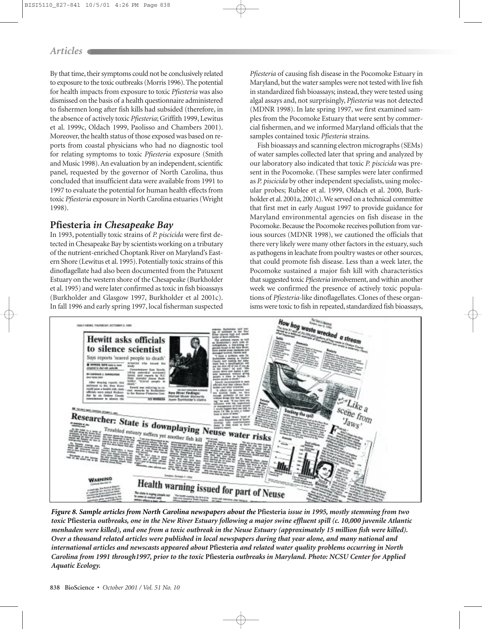#### *Articles*

By that time, their symptoms could not be conclusively related to exposure to the toxic outbreaks (Morris 1996). The potential for health impacts from exposure to toxic *Pfiesteria* was also dismissed on the basis of a health questionnaire administered to fishermen long after fish kills had subsided (therefore, in the absence of actively toxic *Pfiesteria*; Griffith 1999, Lewitus et al. 1999c, Oldach 1999, Paolisso and Chambers 2001). Moreover, the health status of those exposed was based on reports from coastal physicians who had no diagnostic tool for relating symptoms to toxic *Pfiesteria* exposure (Smith and Music 1998). An evaluation by an independent, scientific panel, requested by the governor of North Carolina, thus concluded that insufficient data were available from 1991 to 1997 to evaluate the potential for human health effects from toxic *Pfiesteria* exposure in North Carolina estuaries (Wright 1998).

#### **Pfiesteria** *in Chesapeake Bay*

In 1993, potentially toxic strains of *P. piscicida* were first detected in Chesapeake Bay by scientists working on a tributary of the nutrient-enriched Choptank River on Maryland's Eastern Shore (Lewitus et al. 1995). Potentially toxic strains of this dinoflagellate had also been documented from the Patuxent Estuary on the western shore of the Chesapeake (Burkholder et al. 1995) and were later confirmed as toxic in fish bioassays (Burkholder and Glasgow 1997, Burkholder et al 2001c). In fall 1996 and early spring 1997, local fisherman suspected *Pfiesteria* of causing fish disease in the Pocomoke Estuary in Maryland, but the water samples were not tested with live fish in standardized fish bioassays; instead, they were tested using algal assays and, not surprisingly, *Pfiesteria* was not detected (MDNR 1998). In late spring 1997, we first examined samples from the Pocomoke Estuary that were sent by commercial fishermen, and we informed Maryland officials that the samples contained toxic *Pfiesteria* strains.

Fish bioassays and scanning electron micrographs (SEMs) of water samples collected later that spring and analyzed by our laboratory also indicated that toxic *P. piscicida* was present in the Pocomoke. (These samples were later confirmed as *P. piscicida* by other independent specialists, using molecular probes; Rublee et al. 1999, Oldach et al. 2000, Burkholder et al. 2001a, 2001c). We served on a technical committee that first met in early August 1997 to provide guidance for Maryland environmental agencies on fish disease in the Pocomoke. Because the Pocomoke receives pollution from various sources (MDNR 1998), we cautioned the officials that there very likely were many other factors in the estuary, such as pathogens in leachate from poultry wastes or other sources, that could promote fish disease. Less than a week later, the Pocomoke sustained a major fish kill with characteristics that suggested toxic *Pfiesteria* involvement, and within another week we confirmed the presence of actively toxic populations of *Pfiesteria*-like dinoflagellates. Clones of these organisms were toxic to fish in repeated, standardized fish bioassays,



*Figure 8. Sample articles from North Carolina newspapers about the* **Pfiesteria** *issue in 1995, mostly stemming from two toxic* **Pfiesteria** *outbreaks, one in the New River Estuary following a major swine effluent spill (c. 10,000 juvenile Atlantic menhaden were killed), and one from a toxic outbreak in the Neuse Estuary (approximately 15 million fish were killed). Over a thousand related articles were published in local newspapers during that year alone, and many national and international articles and newscasts appeared about* **Pfiesteria** *and related water quality problems occurring in North Carolina from 1991 through1997, prior to the toxic* **Pfiesteria** *outbreaks in Maryland. Photo: NCSU Center for Applied Aquatic Ecology.*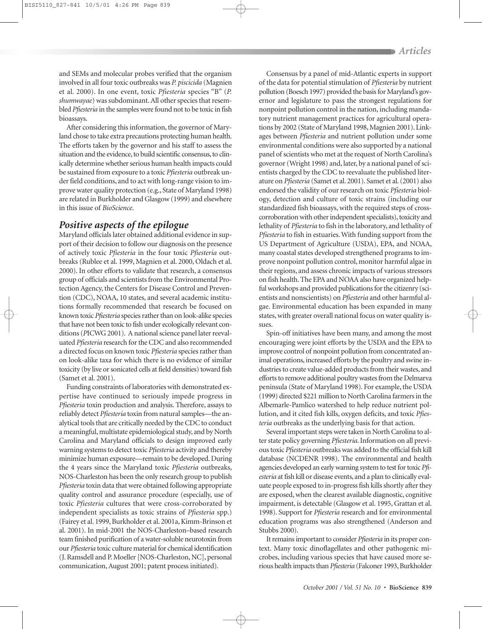and SEMs and molecular probes verified that the organism involved in all four toxic outbreaks was *P. piscicida* (Magnien et al. 2000). In one event, toxic *Pfiesteria* species "B" (*P. shumwayae*) was subdominant. All other species that resembled *Pfiesteria* in the samples were found not to be toxic in fish bioassays.

After considering this information, the governor of Maryland chose to take extra precautions protecting human health. The efforts taken by the governor and his staff to assess the situation and the evidence, to build scientific consensus, to clinically determine whether serious human health impacts could be sustained from exposure to a toxic *Pfiesteria* outbreak under field conditions, and to act with long-range vision to improve water quality protection (e.g., State of Maryland 1998) are related in Burkholder and Glasgow (1999) and elsewhere in this issue of *BioScience*.

#### *Positive aspects of the epilogue*

Maryland officials later obtained additional evidence in support of their decision to follow our diagnosis on the presence of actively toxic *Pfiesteria* in the four toxic *Pfiesteria* outbreaks (Rublee et al. 1999, Magnien et al. 2000, Oldach et al. 2000). In other efforts to validate that research, a consensus group of officials and scientists from the Environmental Protection Agency, the Centers for Disease Control and Prevention (CDC), NOAA, 10 states, and several academic institutions formally recommended that research be focused on known toxic *Pfiesteria* species rather than on look-alike species that have not been toxic to fish under ecologically relevant conditions (*P*ICWG 2001). A national science panel later reevaluated *Pfiesteria* research for the CDC and also recommended a directed focus on known toxic *Pfiesteria* species rather than on look-alike taxa for which there is no evidence of similar toxicity (by live or sonicated cells at field densities) toward fish (Samet et al. 2001).

Funding constraints of laboratories with demonstrated expertise have continued to seriously impede progress in *Pfiesteria* toxin production and analysis. Therefore, assays to reliably detect *Pfiesteria* toxin from natural samples—the analytical tools that are critically needed by the CDC to conduct a meaningful, multistate epidemiological study, and by North Carolina and Maryland officials to design improved early warning systems to detect toxic *Pfiesteria* activity and thereby minimize human exposure—remain to be developed. During the 4 years since the Maryland toxic *Pfiesteria* outbreaks, NOS-Charleston has been the only research group to publish *Pfiesteria* toxin data that were obtained following appropriate quality control and assurance procedure (especially, use of toxic *Pfiesteria* cultures that were cross-corroborated by independent specialists as toxic strains of *Pfiesteria* spp.) (Fairey et al. 1999, Burkholder et al. 2001a, Kimm-Brinson et al. 2001). In mid-2001 the NOS-Charleston–based research team finished purification of a water-soluble neurotoxin from our *Pfiesteria* toxic culture material for chemical identification (J. Ramsdell and P. Moeller [NOS-Charleston, NC], personal communication, August 2001; patent process initiated).

Consensus by a panel of mid-Atlantic experts in support of the data for potential stimulation of *Pfiesteria* by nutrient pollution (Boesch 1997) provided the basis for Maryland's governor and legislature to pass the strongest regulations for nonpoint pollution control in the nation, including mandatory nutrient management practices for agricultural operations by 2002 (State of Maryland 1998, Magnien 2001). Linkages between *Pfiesteria* and nutrient pollution under some environmental conditions were also supported by a national panel of scientists who met at the request of North Carolina's governor (Wright 1998) and, later, by a national panel of scientists charged by the CDC to reevaluate the published literature on *Pfiesteria* (Samet et al. 2001). Samet et al. (2001) also endorsed the validity of our research on toxic *Pfiesteria* biology, detection and culture of toxic strains (including our standardized fish bioassays, with the required steps of crosscorroboration with other independent specialists), toxicity and lethality of *Pfiesteria* to fish in the laboratory, and lethality of *Pfiesteria* to fish in estuaries. With funding support from the US Department of Agriculture (USDA), EPA, and NOAA, many coastal states developed strengthened programs to improve nonpoint pollution control, monitor harmful algae in their regions, and assess chronic impacts of various stressors on fish health. The EPA and NOAA also have organized helpful workshops and provided publications for the citizenry (scientists and nonscientists) on *Pfiesteria* and other harmful algae. Environmental education has been expanded in many states, with greater overall national focus on water quality issues.

Spin-off initiatives have been many, and among the most encouraging were joint efforts by the USDA and the EPA to improve control of nonpoint pollution from concentrated animal operations, increased efforts by the poultry and swine industries to create value-added products from their wastes, and efforts to remove additional poultry wastes from the Delmarva peninsula (State of Maryland 1998). For example, the USDA (1999) directed \$221 million to North Carolina farmers in the Albemarle-Pamlico watershed to help reduce nutrient pollution, and it cited fish kills, oxygen deficits, and toxic *Pfiesteria* outbreaks as the underlying basis for that action.

Several important steps were taken in North Carolina to alter state policy governing *Pfiesteria*. Information on all previous toxic *Pfiesteria* outbreaks was added to the official fish kill database (NCDENR 1998). The environmental and health agencies developed an early warning system to test for toxic *Pfiesteria* at fish kill or disease events, and a plan to clinically evaluate people exposed to in-progress fish kills shortly after they are exposed, when the clearest available diagnostic, cognitive impairment, is detectable (Glasgow et al. 1995, Grattan et al. 1998). Support for *Pfiesteria* research and for environmental education programs was also strengthened (Anderson and Stubbs 2000).

It remains important to consider *Pfiesteria* in its proper context. Many toxic dinoflagellates and other pathogenic microbes, including various species that have caused more serious health impacts than *Pfiesteria* (Falconer 1993, Burkholder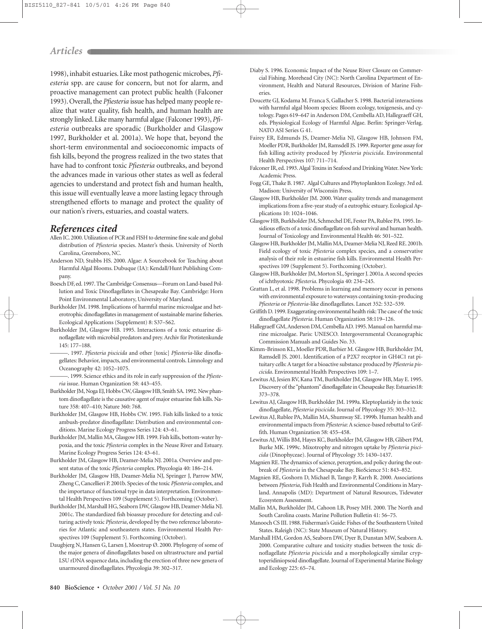#### *Articles*

1998), inhabit estuaries. Like most pathogenic microbes, *Pfiesteria* spp. are cause for concern, but not for alarm, and proactive management can protect public health (Falconer 1993). Overall, the *Pfiesteria* issue has helped many people realize that water quality, fish health, and human health are strongly linked. Like many harmful algae (Falconer 1993),*Pfiesteria* outbreaks are sporadic (Burkholder and Glasgow 1997, Burkholder et al. 2001a). We hope that, beyond the short-term environmental and socioeconomic impacts of fish kills, beyond the progress realized in the two states that have had to confront toxic *Pfiesteria* outbreaks, and beyond the advances made in various other states as well as federal agencies to understand and protect fish and human health, this issue will eventually leave a more lasting legacy through strengthened efforts to manage and protect the quality of our nation's rivers, estuaries, and coastal waters.

#### *References cited*

- Allen IC. 2000. Utilization of PCR and FISH to determine fine scale and global distribution of *Pfiesteria* species. Master's thesis. University of North Carolina, Greensboro, NC.
- Anderson ND, Stubbs HS. 2000. Algae: A Sourcebook for Teaching about Harmful Algal Blooms. Dubuque (IA): Kendall/Hunt Publishing Company.
- Boesch DF, ed. 1997. The Cambridge Consensus—Forum on Land-based Pollution and Toxic Dinoflagellates in Chesapeake Bay. Cambridge: Horn Point Environmental Laboratory, University of Maryland.
- Burkholder JM. 1998. Implications of harmful marine microalgae and heterotrophic dinoflagellates in management of sustainable marine fisheries. Ecological Applications (Supplement) 8: S37–S62.
- Burkholder JM, Glasgow HB. 1995. Interactions of a toxic estuarine dinoflagellate with microbial predators and prey.Archiv für Protistenkunde 145: 177–188.
- ———. 1997. *Pfiesteria piscicida* and other [toxic] *Pfiesteria*-like dinoflagellates: Behavior, impacts, and environmental controls. Limnology and Oceanography 42: 1052–1075.
- ———. 1999. Science ethics and its role in early suppression of the *Pfiesteria* issue. Human Organization 58: 443–455.
- Burkholder JM, Noga EJ, Hobbs CW, Glasgow HB, Smith SA. 1992. New phantom dinoflagellate is the causative agent of major estuarine fish kills. Nature 358: 407–410; Nature 360: 768.
- Burkholder JM, Glasgow HB, Hobbs CW. 1995. Fish kills linked to a toxic ambush-predator dinoflagellate: Distribution and environmental conditions. Marine Ecology Progress Series 124: 43–61.
- Burkholder JM, Mallin MA, Glasgow HB. 1999. Fish kills, bottom-water hypoxia, and the toxic *Pfiesteria* complex in the Neuse River and Estuary. Marine Ecology Progress Series 124: 43–61.
- Burkholder JM, Glasgow HB, Deamer-Melia NJ. 2001a. Overview and present status of the toxic *Pfiesteria* complex. Phycologia 40: 186–214.
- Burkholder JM, Glasgow HB, Deamer-Melia NJ, Springer J, Parrow MW, Zheng C, Cancellieri P. 2001b. Species of the toxic *Pfiesteria* complex, and the importance of functional type in data interpretation. Environmental Health Perspectives 109 (Supplement 5). Forthcoming (October).
- Burkholder JM, Marshall HG, Seaborn DW, Glasgow HB, Deamer-Melia NJ. 2001c. The standardized fish bioassay procedure for detecting and culturing actively toxic *Pfiesteria*, developed by the two reference laboratories for Atlantic and southeastern states. Environmental Health Perspectives 109 (Supplement 5). Forthcoming (October).
- Daugbjerg N, Hansen G, Larsen J, Moestrup Ø. 2000. Phylogeny of some of the major genera of dinoflagellates based on ultrastructure and partial LSU rDNA sequence data, including the erection of three new genera of unarmoured dinoflagellates. Phycologia 39: 302–317.
- Diaby S. 1996. Economic Impact of the Neuse River Closure on Commercial Fishing. Morehead City (NC): North Carolina Department of Environment, Health and Natural Resources, Division of Marine Fisheries.
- Doucette GJ, Kodama M. Franca S, Gallacher S. 1998. Bacterial interactions with harmful algal bloom species: Bloom ecology, toxigenesis, and cytology. Pages 619–647 in Anderson DM, Cembella AD, Hallegraeff GH, eds. Physiological Ecology of Harmful Algae. Berlin: Springer-Verlag. NATO ASI Series G 41.
- Fairey ER, Edmunds JS, Deamer-Melia NJ, Glasgow HB, Johnson FM, Moeller PDR, Burkholder JM, Ramsdell JS. 1999. Reporter gene assay for fish killing activity produced by *Pfiesteria piscicida*. Environmental Health Perspectives 107: 711–714.
- Falconer IR, ed. 1993.Algal Toxins in Seafood and Drinking Water. New York: Academic Press.
- Fogg GE, Thake B. 1987. Algal Cultures and Phytoplankton Ecology. 3rd ed. Madison: University of Wisconsin Press.
- Glasgow HB, Burkholder JM. 2000. Water quality trends and management implications from a five-year study of a eutrophic estuary. Ecological Applications 10: 1024–1046.
- Glasgow HB, Burkholder JM, Schmechel DE, Fester PA, Rublee PA. 1995. Insidious effects of a toxic dinoflagellate on fish survival and human health. Journal of Toxicology and Environmental Health 46: 501–522.
- Glasgow HB, Burkholder JM, Mallin MA, Deamer-Melia NJ, Reed RE. 2001b. Field ecology of toxic *Pfiesteria* complex species, and a conservative analysis of their role in estuarine fish kills. Environmental Health Perspectives 109 (Supplement 5). Forthcoming (October).
- Glasgow HB, Burkholder JM, Morton SL, Springer J. 2001a. A second species of ichthyotoxic *Pfiesteria*. Phycologia 40: 234–245.
- Grattan L, et al. 1998. Problems in learning and memory occur in persons with environmental exposure to waterways containing toxin-producing *Pfiesteria* or *Pfiesteria*-like dinoflagellates. Lancet 352: 532–539.
- Griffith D. 1999. Exaggerating environmental health risk: The case of the toxic dinoflagellate *Pfiesteria*. Human Organization 58:119–126.
- Hallegraeff GM, Anderson DM, Cembella AD. 1995. Manual on harmful marine microalgae. Paris: UNESCO. Intergovernmental Oceanographic Commission Manuals and Guides No. 33.
- Kimm-Brinson KL, Moeller PDR, Barbier M. Glasgow HB, Burkholder JM, Ramsdell JS. 2001. Identification of a P2X7 receptor in GH4C1 rat pituitary cells: A target for a bioactive substance produced by *Pfiesteria piscicida*. Environmental Health Perspectives 109: 1–7.
- Lewitus AJ, Jesien RV, Kana TM, Burkholder JM, Glasgow HB, May E. 1995. Discovery of the "phantom"dinoflagellate in Chesapeake Bay. Estuaries18: 373–378.
- Lewitus AJ, Glasgow HB, Burkholder JM. 1999a. Kleptoplastidy in the toxic dinoflagellate, *Pfiesteria piscicida*. Journal of Phycology 35: 303–312.
- Lewitus AJ, Rublee PA, Mallin MA, Shumway SE. 1999b. Human health and environmental impacts from *Pfiesteria*: A science-based rebuttal to Griffith. Human Organization 58: 455–458.
- Lewitus AJ, Willis BM, Hayes KC, Burkholder JM, Glasgow HB, Glibert PM, Burke MK. 1999c. Mixotrophy and nitrogen uptake by *Pfiesteria piscicida* (Dinophyceae). Journal of Phycology 35: 1430–1437.
- Magnien RE. The dynamics of science, perception, and policy during the outbreak of *Pfiesteria* in the Chesapeake Bay. BioScience 51: 843–852.
- Magnien RE, Goshorn D, Michael B, Tango P, Karrh R. 2000. Associations between *Pfiesteria*, Fish Health and Environmental Conditions in Maryland. Annapolis (MD): Department of Natural Resources, Tidewater Ecosystem Assessment.
- Mallin MA, Burkholder JM, Cahoon LB, Posey MH. 2000. The North and South Carolina coasts. Marine Pollution Bulletin 41: 56–75.
- Manooch CS III. 1988. Fisherman's Guide: Fishes of the Southeastern United States. Raleigh (NC): State Museum of Natural History.
- Marshall HM, Gordon AS, Seaborn DW, Dyer B, Dunstan MW, Seaborn A. 2000. Comparative culture and toxicity studies between the toxic dinoflagellate *Pfiesteria piscicida* and a morphologically similar cryptoperidiniopsoid dinoflagellate. Journal of Experimental Marine Biology and Ecology 225: 65–74.